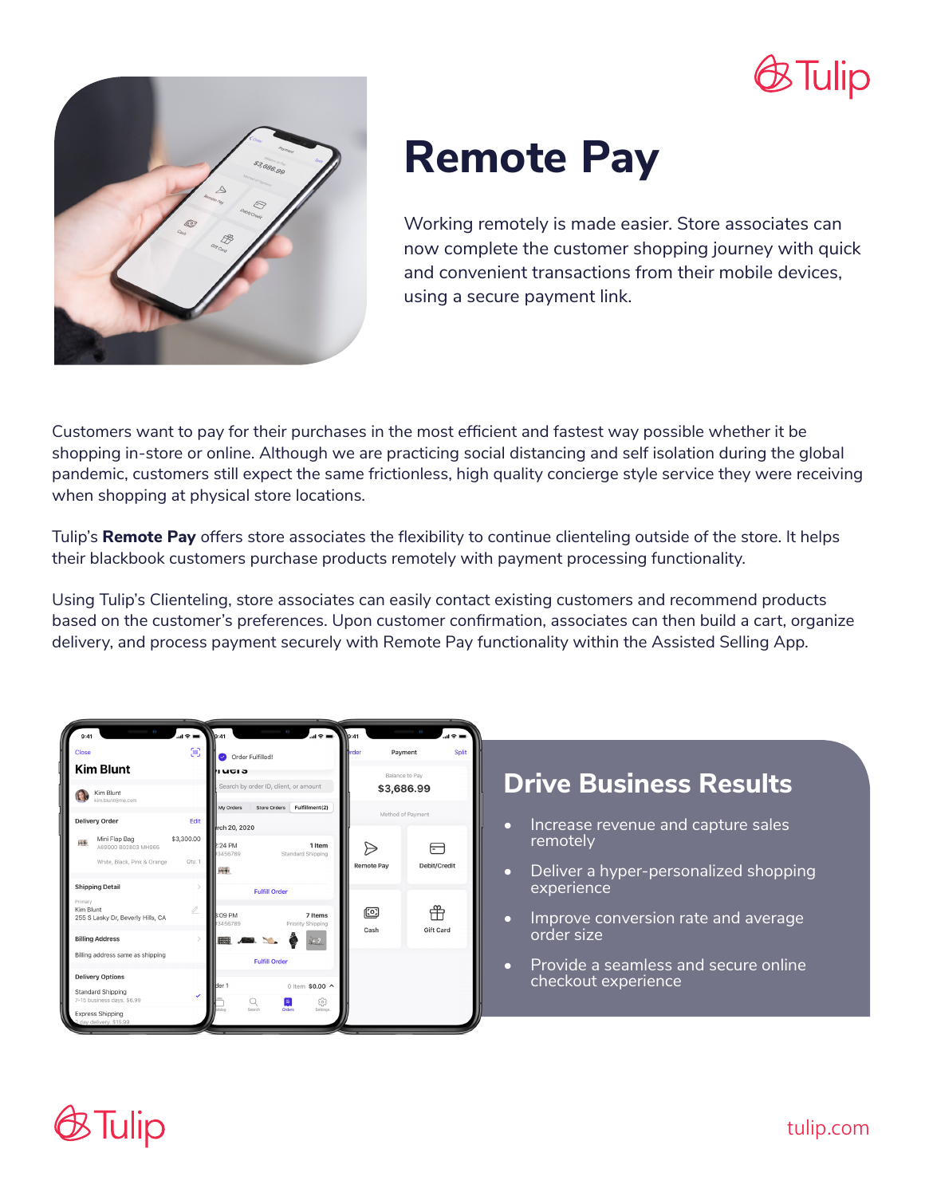



# **Remote Pay**

Working remotely is made easier. Store associates can now complete the customer shopping journey with quick and convenient transactions from their mobile devices, using a secure payment link.

Customers want to pay for their purchases in the most efficient and fastest way possible whether it be shopping in-store or online. Although we are practicing social distancing and self isolation during the global pandemic, customers still expect the same frictionless, high quality concierge style service they were receiving when shopping at physical store locations.

Tulip's **Remote Pay** offers store associates the flexibility to continue clienteling outside of the store. It helps their blackbook customers purchase products remotely with payment processing functionality.

Using Tulip's Clienteling, store associates can easily contact existing customers and recommend products based on the customer's preferences. Upon customer confirmation, associates can then build a cart, organize delivery, and process payment securely with Remote Pay functionality within the Assisted Selling App.



#### **Drive Business Results**

- Increase revenue and capture sales remotely
- Deliver a hyper-personalized shopping experience
- Improve conversion rate and average order size
- Provide a seamless and secure online checkout experience

## Tulip

tulip.com